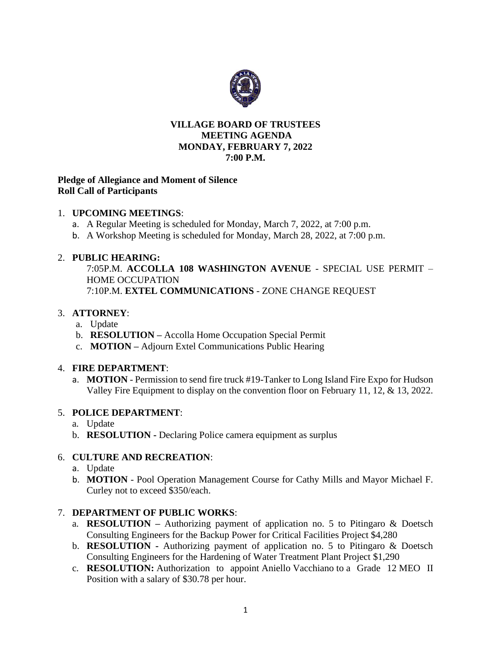

# **VILLAGE BOARD OF TRUSTEES MEETING AGENDA MONDAY, FEBRUARY 7, 2022 7:00 P.M.**

## **Pledge of Allegiance and Moment of Silence Roll Call of Participants**

# 1. **UPCOMING MEETINGS**:

- a. A Regular Meeting is scheduled for Monday, March 7, 2022, at 7:00 p.m.
- b. A Workshop Meeting is scheduled for Monday, March 28, 2022, at 7:00 p.m.

# 2. **PUBLIC HEARING:**

7:05P.M. **ACCOLLA 108 WASHINGTON AVENUE** - SPECIAL USE PERMIT – HOME OCCUPATION 7:10P.M. **EXTEL COMMUNICATIONS** - ZONE CHANGE REQUEST

# 3. **ATTORNEY**:

- a. Update
- b. **RESOLUTION –** Accolla Home Occupation Special Permit
- c. **MOTION –** Adjourn Extel Communications Public Hearing

## 4. **FIRE DEPARTMENT**:

a. **MOTION** - Permission to send fire truck #19-Tanker to Long Island Fire Expo for Hudson Valley Fire Equipment to display on the convention floor on February 11, 12, & 13, 2022.

## 5. **POLICE DEPARTMENT**:

- a. Update
- b. **RESOLUTION -** Declaring Police camera equipment as surplus

# 6. **CULTURE AND RECREATION**:

- a. Update
- b. **MOTION** Pool Operation Management Course for Cathy Mills and Mayor Michael F. Curley not to exceed \$350/each.

## 7. **DEPARTMENT OF PUBLIC WORKS**:

- a. **RESOLUTION –** Authorizing payment of application no. 5 to Pitingaro & Doetsch Consulting Engineers for the Backup Power for Critical Facilities Project \$4,280
- b. **RESOLUTION -** Authorizing payment of application no. 5 to Pitingaro & Doetsch Consulting Engineers for the Hardening of Water Treatment Plant Project \$1,290
- c. **RESOLUTION:** Authorization to appoint Aniello Vacchiano to a Grade 12 MEO II Position with a salary of \$30.78 per hour.